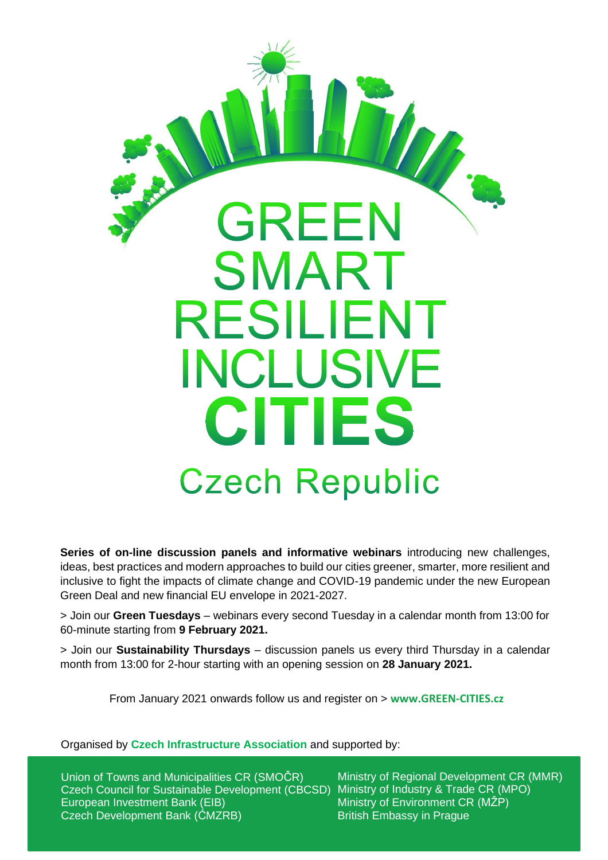

**Series of on-line discussion panels and informative webinars** introducing new challenges, ideas, best practices and modern approaches to build our cities greener, smarter, more resilient and inclusive to fight the impacts of climate change and COVID-19 pandemic under the new European Green Deal and new financial EU envelope in 2021-2027.

> Join our **Green Tuesdays** – webinars every second Tuesday in a calendar month from 13:00 for 60-minute starting from **9 February 2021.**

> Join our **Sustainability Thursdays** – discussion panels us every third Thursday in a calendar month from 13:00 for 2-hour starting with an opening session on **28 January 2021.**

From January 2021 onwards follow us and register on > **[www.GREEN-CITIES.cz](http://www.greencities.cz/)**

Organised by **Czech Infrastructure Association** and supported by:

Union of Towns and Municipalities CR (SMOČR) Czech Council for Sustainable Development (CBCSD) European Investment Bank (EIB) Czech Development Bank (ĆMZRB)

Ministry of Regional Development CR (MMR) Ministry of Industry & Trade CR (MPO) Ministry of Environment CR (MŽP) British Embassy in Prague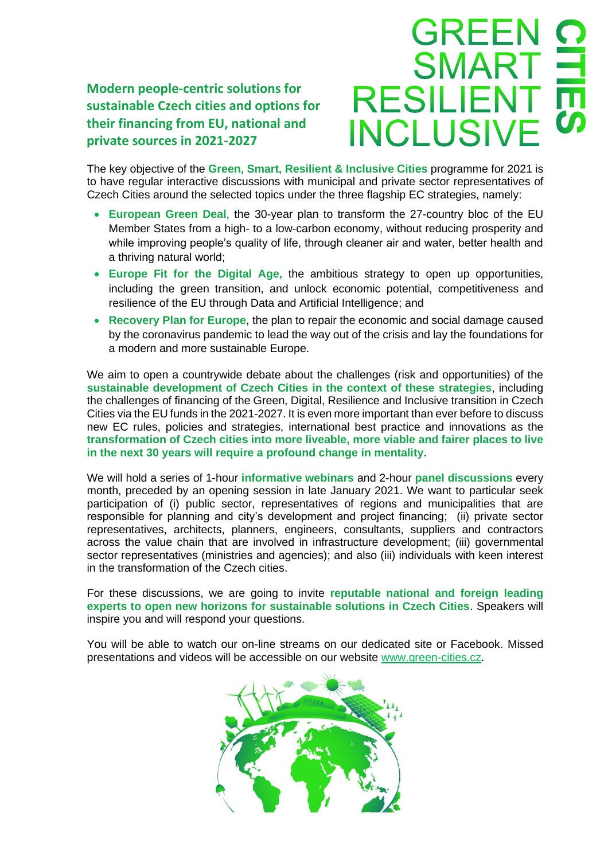**Modern people-centric solutions for sustainable Czech cities and options for their financing from EU, national and private sources in 2021-2027**



The key objective of the **Green, Smart, Resilient & Inclusive Cities** programme for 2021 is to have regular interactive discussions with municipal and private sector representatives of Czech Cities around the selected topics under the three flagship EC strategies, namely:

- **European Green Deal**, the 30-year plan to transform the 27-country bloc of the EU Member States from a high- to a low-carbon economy, without reducing prosperity and while improving people's quality of life, through cleaner air and water, better health and a thriving natural world;
- **Europe Fit for the Digital Age,** the ambitious strategy to open up opportunities, including the green transition, and unlock economic potential, competitiveness and resilience of the EU through Data and Artificial Intelligence; and
- **Recovery Plan for Europe**, the plan to repair the economic and social damage caused by the coronavirus pandemic to lead the way out of the crisis and lay the foundations for a modern and more sustainable Europe.

We aim to open a countrywide debate about the challenges (risk and opportunities) of the **sustainable development of Czech Cities in the context of these strategies**, including the challenges of financing of the Green, Digital, Resilience and Inclusive transition in Czech Cities via the EU funds in the 2021-2027. It is even more important than ever before to discuss new EC rules, policies and strategies, international best practice and innovations as the **transformation of Czech cities into more liveable, more viable and fairer places to live in the next 30 years will require a profound change in mentality**.

We will hold a series of 1-hour **informative webinars** and 2-hour **panel discussions** every month, preceded by an opening session in late January 2021. We want to particular seek participation of (i) public sector, representatives of regions and municipalities that are responsible for planning and city's development and project financing; (ii) private sector representatives, architects, planners, engineers, consultants, suppliers and contractors across the value chain that are involved in infrastructure development; (iii) governmental sector representatives (ministries and agencies); and also (iii) individuals with keen interest in the transformation of the Czech cities.

For these discussions, we are going to invite **reputable national and foreign leading experts to open new horizons for sustainable solutions in Czech Cities**. Speakers will inspire you and will respond your questions.

You will be able to watch our on-line streams on our dedicated site or Facebook. Missed presentations and videos will be accessible on our website [www.green-cities.cz.](http://www.greencities.cz/)

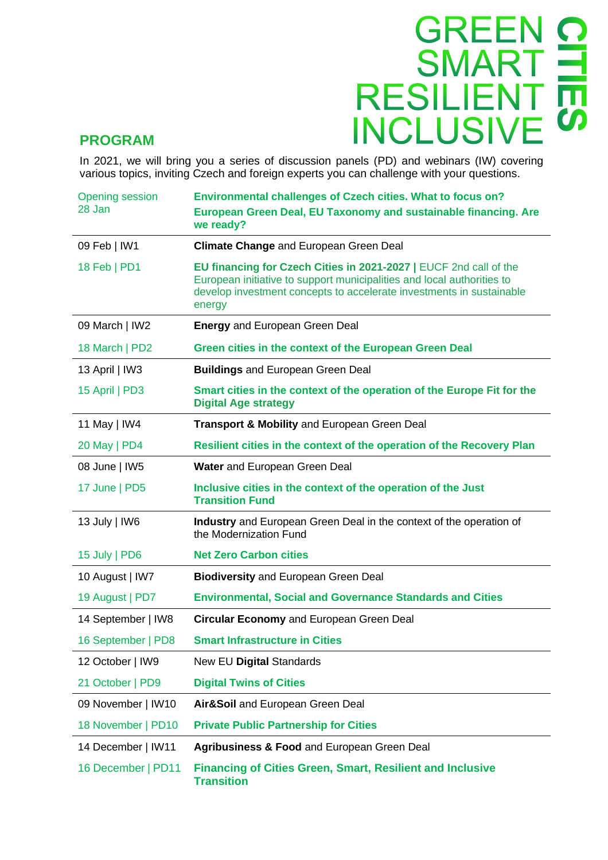

## **PROGRAM**

In 2021, we will bring you a series of discussion panels (PD) and webinars (IW) covering various topics, inviting Czech and foreign experts you can challenge with your questions.

| <b>Opening session</b><br>28 Jan | <b>Environmental challenges of Czech cities. What to focus on?</b><br>European Green Deal, EU Taxonomy and sustainable financing. Are<br>we ready?                                                                            |
|----------------------------------|-------------------------------------------------------------------------------------------------------------------------------------------------------------------------------------------------------------------------------|
| 09 Feb   IW1                     | <b>Climate Change and European Green Deal</b>                                                                                                                                                                                 |
| 18 Feb   PD1                     | EU financing for Czech Cities in 2021-2027   EUCF 2nd call of the<br>European initiative to support municipalities and local authorities to<br>develop investment concepts to accelerate investments in sustainable<br>energy |
| 09 March   IW2                   | <b>Energy and European Green Deal</b>                                                                                                                                                                                         |
| 18 March   PD2                   | Green cities in the context of the European Green Deal                                                                                                                                                                        |
| 13 April   IW3                   | <b>Buildings and European Green Deal</b>                                                                                                                                                                                      |
| 15 April   PD3                   | Smart cities in the context of the operation of the Europe Fit for the<br><b>Digital Age strategy</b>                                                                                                                         |
| 11 May   IW4                     | Transport & Mobility and European Green Deal                                                                                                                                                                                  |
| 20 May   PD4                     | Resilient cities in the context of the operation of the Recovery Plan                                                                                                                                                         |
| 08 June   IW5                    | Water and European Green Deal                                                                                                                                                                                                 |
| 17 June   PD5                    | Inclusive cities in the context of the operation of the Just<br><b>Transition Fund</b>                                                                                                                                        |
| 13 July   IW6                    | Industry and European Green Deal in the context of the operation of<br>the Modernization Fund                                                                                                                                 |
| 15 July   PD6                    | <b>Net Zero Carbon cities</b>                                                                                                                                                                                                 |
| 10 August   IW7                  | <b>Biodiversity and European Green Deal</b>                                                                                                                                                                                   |
| 19 August   PD7                  | <b>Environmental, Social and Governance Standards and Cities</b>                                                                                                                                                              |
| 14 September   IW8               | <b>Circular Economy and European Green Deal</b>                                                                                                                                                                               |
| 16 September   PD8               | <b>Smart Infrastructure in Cities</b>                                                                                                                                                                                         |
| 12 October   IW9                 | New EU Digital Standards                                                                                                                                                                                                      |
| 21 October   PD9                 | <b>Digital Twins of Cities</b>                                                                                                                                                                                                |
| 09 November   IW10               | Air&Soil and European Green Deal                                                                                                                                                                                              |
| 18 November   PD10               | <b>Private Public Partnership for Cities</b>                                                                                                                                                                                  |
| 14 December   IW11               | Agribusiness & Food and European Green Deal                                                                                                                                                                                   |
| 16 December   PD11               | <b>Financing of Cities Green, Smart, Resilient and Inclusive</b><br><b>Transition</b>                                                                                                                                         |